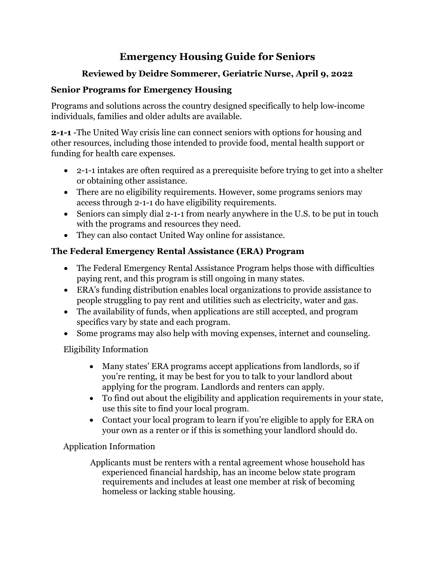# **Emergency Housing Guide for Seniors**

## **Reviewed by Deidre Sommerer, Geriatric Nurse, April 9, 2022**

## **Senior Programs for Emergency Housing**

Programs and solutions across the country designed specifically to help low-income individuals, families and older adults are available.

**2-1-1** -The United Way crisis line can connect seniors with options for housing and other resources, including those intended to provide food, mental health support or funding for health care expenses.

- 2-1-1 intakes are often required as a prerequisite before trying to get into a shelter or obtaining other assistance.
- There are no eligibility requirements. However, some programs seniors may access through 2-1-1 do have eligibility requirements.
- Seniors can simply dial 2-1-1 from nearly anywhere in the U.S. to be put in touch with the programs and resources they need.
- They can also contact United Way online for assistance.

## **The Federal Emergency Rental Assistance (ERA) Program**

- The Federal Emergency Rental Assistance Program helps those with difficulties paying rent, and this program is still ongoing in many states.
- ERA's funding distribution enables local organizations to provide assistance to people struggling to pay rent and utilities such as electricity, water and gas.
- The availability of funds, when applications are still accepted, and program specifics vary by state and each program.
- Some programs may also help with moving expenses, internet and counseling.

Eligibility Information

- Many states' ERA programs accept applications from landlords, so if you're renting, it may be best for you to talk to your landlord about applying for the program. Landlords and renters can apply.
- To find out about the eligibility and application requirements in your state, use this site to find your local program.
- Contact your local program to learn if you're eligible to apply for ERA on your own as a renter or if this is something your landlord should do.

Application Information

 Applicants must be renters with a rental agreement whose household has experienced financial hardship, has an income below state program requirements and includes at least one member at risk of becoming homeless or lacking stable housing.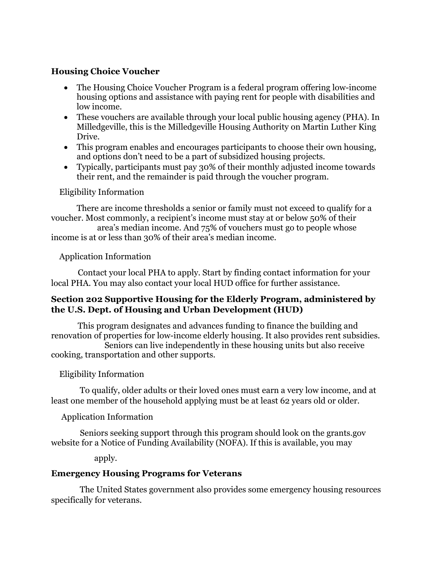#### **Housing Choice Voucher**

- The Housing Choice Voucher Program is a federal program offering low-income housing options and assistance with paying rent for people with disabilities and low income.
- These vouchers are available through your local public housing agency (PHA). In Milledgeville, this is the Milledgeville Housing Authority on Martin Luther King Drive.
- This program enables and encourages participants to choose their own housing, and options don't need to be a part of subsidized housing projects.
- Typically, participants must pay 30% of their monthly adjusted income towards their rent, and the remainder is paid through the voucher program.

#### Eligibility Information

There are income thresholds a senior or family must not exceed to qualify for a voucher. Most commonly, a recipient's income must stay at or below 50% of their

 area's median income. And 75% of vouchers must go to people whose income is at or less than 30% of their area's median income.

#### Application Information

 Contact your local PHA to apply. Start by finding contact information for your local PHA. You may also contact your local HUD office for further assistance.

#### **Section 202 Supportive Housing for the Elderly Program, administered by the U.S. Dept. of Housing and Urban Development (HUD)**

 This program designates and advances funding to finance the building and renovation of properties for low-income elderly housing. It also provides rent subsidies. Seniors can live independently in these housing units but also receive cooking, transportation and other supports.

### Eligibility Information

 To qualify, older adults or their loved ones must earn a very low income, and at least one member of the household applying must be at least 62 years old or older.

### Application Information

 Seniors seeking support through this program should look on the grants.gov website for a Notice of Funding Availability (NOFA). If this is available, you may

apply.

### **Emergency Housing Programs for Veterans**

 The United States government also provides some emergency housing resources specifically for veterans.